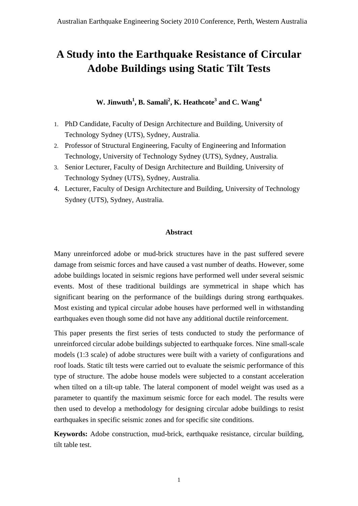# **A Study into the Earthquake Resistance of Circular Adobe Buildings using Static Tilt Tests**

## **W. Jinwuth<sup>1</sup>, B. Samali<sup>2</sup>, K. Heathcote<sup>3</sup> and C. Wang<sup>4</sup>**

- 1. PhD Candidate, Faculty of Design Architecture and Building, University of Technology Sydney (UTS), Sydney, Australia.
- 2. Professor of Structural Engineering, Faculty of Engineering and Information Technology, University of Technology Sydney (UTS), Sydney, Australia.
- 3. Senior Lecturer, Faculty of Design Architecture and Building, University of Technology Sydney (UTS), Sydney, Australia.
- 4. Lecturer, Faculty of Design Architecture and Building, University of Technology Sydney (UTS), Sydney, Australia.

## **Abstract**

Many unreinforced adobe or mud-brick structures have in the past suffered severe damage from seismic forces and have caused a vast number of deaths. However, some adobe buildings located in seismic regions have performed well under several seismic events. Most of these traditional buildings are symmetrical in shape which has significant bearing on the performance of the buildings during strong earthquakes. Most existing and typical circular adobe houses have performed well in withstanding earthquakes even though some did not have any additional ductile reinforcement.

This paper presents the first series of tests conducted to study the performance of unreinforced circular adobe buildings subjected to earthquake forces. Nine small-scale models (1:3 scale) of adobe structures were built with a variety of configurations and roof loads. Static tilt tests were carried out to evaluate the seismic performance of this type of structure. The adobe house models were subjected to a constant acceleration when tilted on a tilt-up table. The lateral component of model weight was used as a parameter to quantify the maximum seismic force for each model. The results were then used to develop a methodology for designing circular adobe buildings to resist earthquakes in specific seismic zones and for specific site conditions.

**Keywords:** Adobe construction, mud-brick, earthquake resistance, circular building, tilt table test.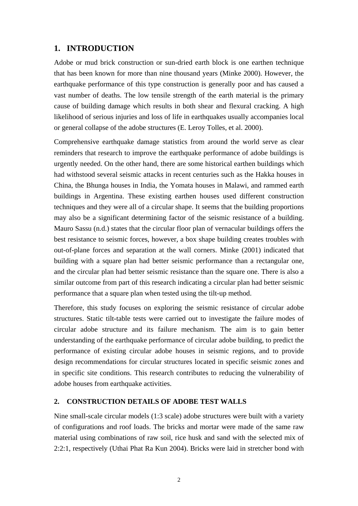## **1. INTRODUCTION**

Adobe or mud brick construction or sun-dried earth block is one earthen technique that has been known for more than nine thousand years (Minke 2000). However, the earthquake performance of this type construction is generally poor and has caused a vast number of deaths. The low tensile strength of the earth material is the primary cause of building damage which results in both shear and flexural cracking. A high likelihood of serious injuries and loss of life in earthquakes usually accompanies local or general collapse of the adobe structures (E. Leroy Tolles, et al. 2000).

Comprehensive earthquake damage statistics from around the world serve as clear reminders that research to improve the earthquake performance of adobe buildings is urgently needed. On the other hand, there are some historical earthen buildings which had withstood several seismic attacks in recent centuries such as the Hakka houses in China, the Bhunga houses in India, the Yomata houses in Malawi, and rammed earth buildings in Argentina. These existing earthen houses used different construction techniques and they were all of a circular shape. It seems that the building proportions may also be a significant determining factor of the seismic resistance of a building. Mauro Sassu (n.d.) states that the circular floor plan of vernacular buildings offers the best resistance to seismic forces, however, a box shape building creates troubles with out-of-plane forces and separation at the wall corners. Minke (2001) indicated that building with a square plan had better seismic performance than a rectangular one, and the circular plan had better seismic resistance than the square one. There is also a similar outcome from part of this research indicating a circular plan had better seismic performance that a square plan when tested using the tilt-up method.

Therefore, this study focuses on exploring the seismic resistance of circular adobe structures. Static tilt-table tests were carried out to investigate the failure modes of circular adobe structure and its failure mechanism. The aim is to gain better understanding of the earthquake performance of circular adobe building, to predict the performance of existing circular adobe houses in seismic regions, and to provide design recommendations for circular structures located in specific seismic zones and in specific site conditions. This research contributes to reducing the vulnerability of adobe houses from earthquake activities.

#### **2. CONSTRUCTION DETAILS OF ADOBE TEST WALLS**

Nine small-scale circular models (1:3 scale) adobe structures were built with a variety of configurations and roof loads. The bricks and mortar were made of the same raw material using combinations of raw soil, rice husk and sand with the selected mix of 2:2:1, respectively (Uthai Phat Ra Kun 2004). Bricks were laid in stretcher bond with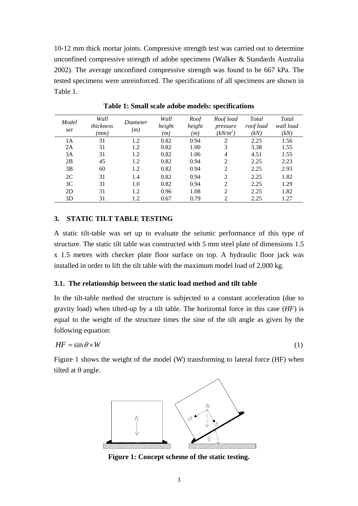10-12 mm thick mortar joints. Compressive strength test was carried out to determine unconfined compressive strength of adobe specimens (Walker & Standards Australia 2002). The average unconfined compressive strength was found to be 667 kPa. The tested specimens were unreinforced. The specifications of all specimens are shown in Table 1.

| Model<br>set   | Wall<br>thickness<br>(mm) | Diameter<br>(m) | Wall<br>height | Roof<br>height | Roof load<br>pressure | Total<br>roof load | Total<br>wall load |  |
|----------------|---------------------------|-----------------|----------------|----------------|-----------------------|--------------------|--------------------|--|
|                |                           |                 | (m)            | (m)            | $(kN/m^2)$            | (kN)               | (kN)               |  |
| 1Α             | 31                        | 1.2             | 0.82           | 0.94           | 2                     | 2.25               | 1.56               |  |
| 2A             | 31                        | 1.2             | 0.82           | 1.00           | 3                     | 3.38               | 1.55               |  |
| 3A             | 31                        | 1.2             | 0.82           | 1.06           | $\overline{4}$        | 4.51               | 1.55               |  |
| 2B             | 45                        | 1.2             | 0.82           | 0.94           | $\overline{2}$        | 2.25               | 2.23               |  |
| 3B             | 60                        | 1.2             | 0.82           | 0.94           | $\overline{2}$        | 2.25               | 2.93               |  |
| 2C             | 31                        | 1.4             | 0.82           | 0.94           | 2                     | 2.25               | 1.82               |  |
| 3 <sup>C</sup> | 31                        | 1.0             | 0.82           | 0.94           | $\overline{2}$        | 2.25               | 1.29               |  |
| 2D             | 31                        | 1.2             | 0.96           | 1.08           | 2                     | 2.25               | 1.82               |  |
| 3D             | 31                        | 1.2             | 0.67           | 0.79           | $\overline{2}$        | 2.25               | 1.27               |  |

**Table 1: Small scale adobe models: specifications**

## **3. STATIC TILT TABLE TESTING**

A static tilt-table was set up to evaluate the seismic performance of this type of structure. The static tilt table was constructed with 5 mm steel plate of dimensions 1.5 x 1.5 metres with checker plate floor surface on top. A hydraulic floor jack was installed in order to lift the tilt table with the maximum model load of 2,000 kg.

## **3.1. The relationship between the static load method and tilt table**

In the tilt-table method the structure is subjected to a constant acceleration (due to gravity load) when tilted-up by a tilt table. The horizontal force in this case (*HF*) is equal to the weight of the structure times the sine of the tilt angle as given by the following equation:

$$
HF = \sin \theta \times W \tag{1}
$$

Figure 1 shows the weight of the model (W) transforming to lateral force (HF) when tilted at  $\theta$  angle.



**Figure 1: Concept scheme of the static testing.**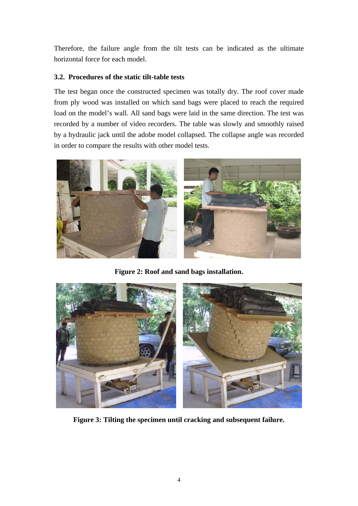Therefore, the failure angle from the tilt tests can be indicated as the ultimate horizontal force for each model.

## **3.2. Procedures of the static tilt-table tests**

The test began once the constructed specimen was totally dry. The roof cover made from ply wood was installed on which sand bags were placed to reach the required load on the model's wall. All sand bags were laid in the same direction. The test was recorded by a number of video recorders. The table was slowly and smoothly raised by a hydraulic jack until the adobe model collapsed. The collapse angle was recorded in order to compare the results with other model tests.



**Figure 2: Roof and sand bags installation.** 



**Figure 3: Tilting the specimen until cracking and subsequent failure.**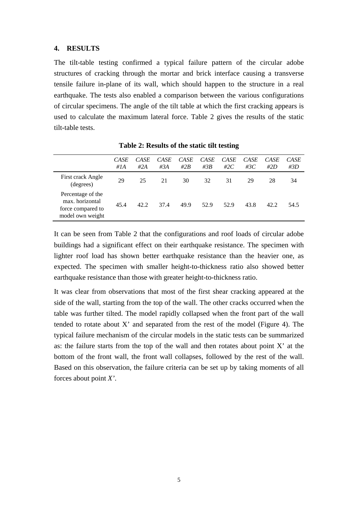#### **4. RESULTS**

The tilt-table testing confirmed a typical failure pattern of the circular adobe structures of cracking through the mortar and brick interface causing a transverse tensile failure in-plane of its wall, which should happen to the structure in a real earthquake. The tests also enabled a comparison between the various configurations of circular specimens. The angle of the tilt table at which the first cracking appears is used to calculate the maximum lateral force. Table 2 gives the results of the static tilt-table tests.

|                                                                               | CASE<br>#IA | CASE<br>#2A | CASE<br>#3A | CASE<br>#2B | CASE<br>$\#3B$ | CASE<br>#2C | CASE<br>#3C | CASE<br>#2 $D$ | CASE<br>$\#3D$ |
|-------------------------------------------------------------------------------|-------------|-------------|-------------|-------------|----------------|-------------|-------------|----------------|----------------|
| First crack Angle<br>(degrees)                                                | 29          | 25          | 21          | 30          | 32             | 31          | 29          | 28             | 34             |
| Percentage of the<br>max. horizontal<br>force compared to<br>model own weight | 45.4        | 42.2        | 37.4        | 49.9        | 52.9           | 52.9        | 43.8        | 42.2           | 54.5           |

**Table 2: Results of the static tilt testing** 

It can be seen from Table 2 that the configurations and roof loads of circular adobe buildings had a significant effect on their earthquake resistance. The specimen with lighter roof load has shown better earthquake resistance than the heavier one, as expected. The specimen with smaller height-to-thickness ratio also showed better earthquake resistance than those with greater height-to-thickness ratio.

It was clear from observations that most of the first shear cracking appeared at the side of the wall, starting from the top of the wall. The other cracks occurred when the table was further tilted. The model rapidly collapsed when the front part of the wall tended to rotate about  $X'$  and separated from the rest of the model (Figure 4). The typical failure mechanism of the circular models in the static tests can be summarized as: the failure starts from the top of the wall and then rotates about point X' at the bottom of the front wall, the front wall collapses, followed by the rest of the wall. Based on this observation, the failure criteria can be set up by taking moments of all forces about point *X'*.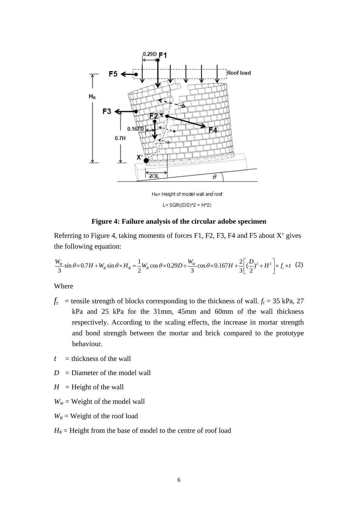

L= SQR((D/2)^2 + H^2)

### **Figure 4: Failure analysis of the circular adobe specimen**

Referring to Figure 4, taking moments of forces F1, F2, F3, F4 and F5 about X' gives the following equation:

$$
\frac{W_w}{3}\sin\theta \times 0.7H + W_R \sin\theta \times H_R = \frac{1}{2}W_R \cos\theta \times 0.29D + \frac{W_w}{3}\cos\theta \times 0.167H + \frac{2}{3}\left[\left(\frac{D}{2}\right)^2 + H^2\right] \times f_t \times t
$$
 (2)

Where

- $f_t$  = tensile strength of blocks corresponding to the thickness of wall.  $f_t$  = 35 kPa, 27 kPa and 25 kPa for the 31mm, 45mm and 60mm of the wall thickness respectively. According to the scaling effects, the increase in mortar strength and bond strength between the mortar and brick compared to the prototype behaviour.
- $t =$  thickness of the wall
- *D =* Diameter of the model wall
- $H =$  Height of the wall
- $W_W$  = Weight of the model wall
- $W_R$  = Weight of the roof load
- $H_R$  = Height from the base of model to the centre of roof load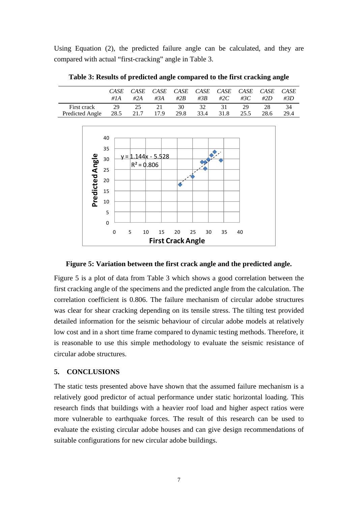Using Equation (2), the predicted failure angle can be calculated, and they are compared with actual "first-cracking" angle in Table 3.



**Table 3: Results of predicted angle compared to the first cracking angle** 

#### **Figure 5: Variation between the first crack angle and the predicted angle.**

Figure 5 is a plot of data from Table 3 which shows a good correlation between the first cracking angle of the specimens and the predicted angle from the calculation. The correlation coefficient is 0.806. The failure mechanism of circular adobe structures was clear for shear cracking depending on its tensile stress. The tilting test provided detailed information for the seismic behaviour of circular adobe models at relatively low cost and in a short time frame compared to dynamic testing methods. Therefore, it is reasonable to use this simple methodology to evaluate the seismic resistance of circular adobe structures.

## **5. CONCLUSIONS**

The static tests presented above have shown that the assumed failure mechanism is a relatively good predictor of actual performance under static horizontal loading. This research finds that buildings with a heavier roof load and higher aspect ratios were more vulnerable to earthquake forces. The result of this research can be used to evaluate the existing circular adobe houses and can give design recommendations of suitable configurations for new circular adobe buildings.